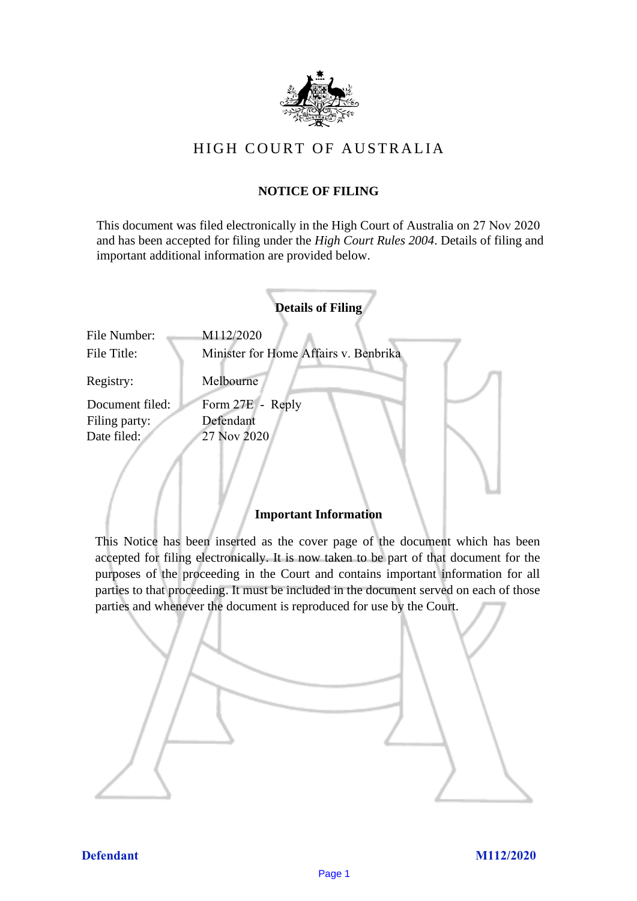

# HIGH COURT OF AU STRALIA HIGH COURT OF AUSTRALIA

# **NOTICE OF FILING** NOTICE OF FILING

This document was filed electronically in the High Court of Australia on 27 Nov 2020 and has been accepted for filing under the *High Court Rules 2004*. Details of filing and important additional information are provided below. important additional information are provided below.

|                                  | <b>Details of Filing</b>                           |
|----------------------------------|----------------------------------------------------|
| File Number:<br>File Title:      | M112/2020<br>Minister for Home Affairs v. Benbrika |
| Registry:                        | Melbourne                                          |
| Document filed:<br>Filing party: | Form 27E - Reply<br>Defendant                      |
| Date filed:                      | 27 Nov 2020                                        |
|                                  |                                                    |

### **Important Information** Important Information

This Notice has been inserted as the cover page of the document which has been accepted for filing electronically. It is now taken to be part of that document for the purposes of the proceeding in the Court and contains important information for all parties to that proceeding. It must be included in the document served on each of those parties and whenever the document is reproduced for use by the Court. parties and whenever the document is reproduced for use by the Court

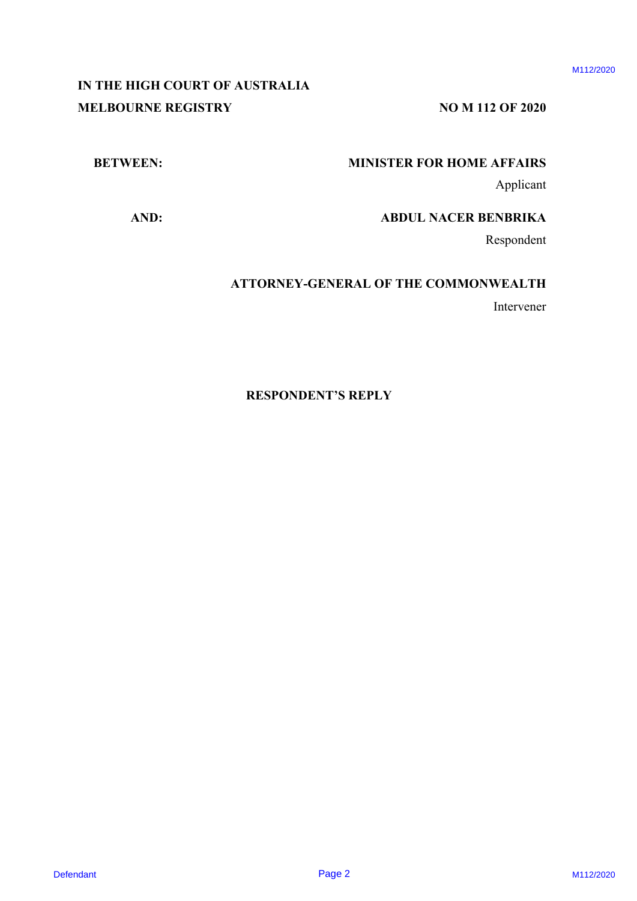# **IN THE HIGH COURT OF AUSTRALIA** IN THE HIGH COURT OF AUSTRALIA **MELBOURNE REGISTRY** NO M 112 OF 2020 DEFINITION CONTRACT OF AUSTRALIA<br>
M112 DE HEADER<br>
MINISTER FOR DOME AFFAIRS<br>
ABDUL NACER ENERGIA<br>
ABDUL NACER ENERGIA<br>
ABDUL NACER ENERGIA<br>
ABDUL NACER ENERGIA<br>
ENERGIA<br>
ATTORNEY-GENERAL OF THE COMMONWEALTH<br>
Intervation<br>
I

# **BETWEEN: MINISTER FOR HOME AFFAIRS** BETWEEN: MINISTER FOR HOME AFFAIRS

Applicant Applicant

**AND: ABDUL NACER BENBRIKA** AND: ABDUL NACER BENBRIKA

Respondent Respondent

# **ATTORNEY-GENERAL OF THE COMMONWEALTH** ATTORNEY-GENERAL OF THE COMMONWEALTH

Intervener Intervener

### **RESPONDENT'S REPLY**  RESPONDENT'S REPLY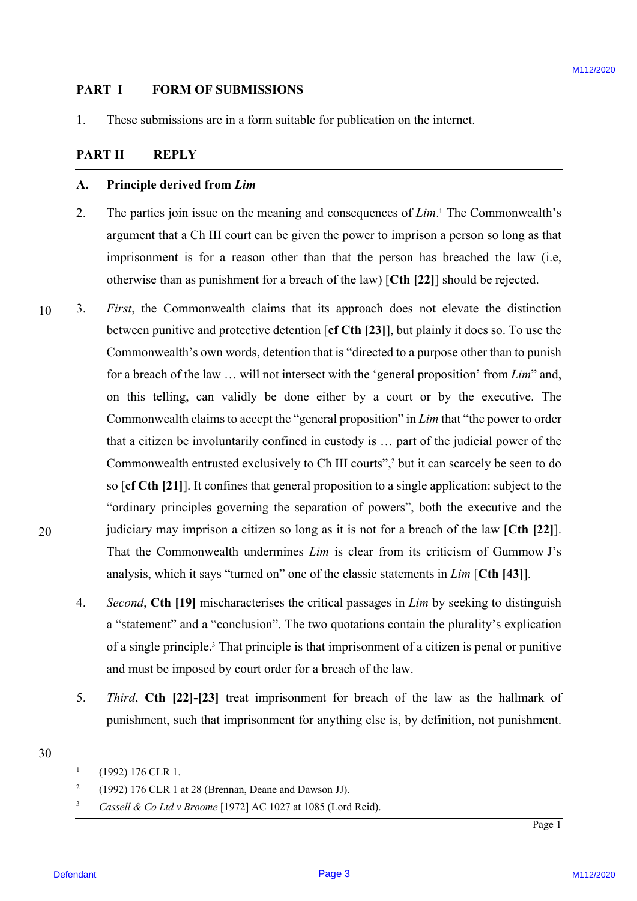# **PART I FORM OF SUBMISSIONS** PART I FORM OF SUBMISSIONS

1. These submissions are in a form suitable for publication on the internet. These submissions are in <sup>a</sup> form suitable for publication on the internet.

# **PART II REPLY** PART II REPLY

### **A. Principle derived from** *Lim* Principle derived from Lim A.

- 2. The parties join issue on the meaning and consequences of *Lim*. <sup>1</sup> The Commonwealth's The parties join issue on the meaning and consequences of Lim.' The Commonwealth's argument that a Ch III court can be given the power to imprison a person so long as that argument that <sup>a</sup> Ch III court can be given the power to imprison <sup>a</sup> person so long as that imprisonment is for a reason other than that the person has breached the law (i.e, otherwise than as punishment for a breach of the law) [**Cth [22]**] should be rejected. otherwise than as punishment for <sup>a</sup> breach of the law) [Cth [22]] should be rejected. 2.
- 10 10 20 20 3. *First*, the Commonwealth claims that its approach does not elevate the distinction First, the Commonwealth claims that its approach does not elevate the distinction between punitive and protective detention [**cf Cth [23]**], but plainly it does so. To use the between punitive and protective detention [ef Cth [23]], but plainly it does so. To use the Commonwealth's own words, detention that is "directed to a purpose other than to punish Commonwealth's own words, detention that is "directed to a purpose other than to punish for a breach of the law ... will not intersect with the 'general proposition' from *Lim*" and, on this telling, can validly be done either by a court or by the executive. The Commonwealth claims to accept the "general proposition" in *Lim* that "the power to order Commonwealth claims to accept the "general proposition" in Lim that "the power to order that a citizen be involuntarily confined in custody is … part of the judicial power of the that a citizen be involuntarily confined in custody is ... part of the judicial power of the Commonwealth entrusted exclusively to Ch III courts",<sup>2</sup> but it can scarcely be seen to do so [**cf Cth [21]**]. It confines that general proposition to a single application: subject to the so [ef Cth [21]]. It confines that general proposition to <sup>a</sup> single application: subject to the "ordinary principles governing the separation of powers", both the executive and the "ordinary principles governing the separation of powers", both the executive and the judiciary may imprison a citizen so long as it is not for a breach of the law [Cth [22]]. That the Commonwealth undermines *Lim* is clear from its criticism of Gummow J's analysis, which it says "turned on" one of the classic statements in *Lim* [**Cth [43]**]. analysis, which it says "turned on" one of the classic statements in Lim [Cth [43]].**PART 1** FORM OF SUBMISSIONS **Example 19** and the state of the state of the state of the state of the state of the state of the state of the state of the state of the state of the state of the state of the state of the st
	- 4. *Second*, **Cth [19]** mischaracterises the critical passages in *Lim* by seeking to distinguish Second, Cth [19] mischaracterises the critical passages in Lim by seeking to distinguish a "statement" and a "conclusion". The two quotations contain the plurality's explication a "statement" and <sup>a</sup> "conclusion". The two quotations contain the plurality's explication of a single principle.<sup>3</sup> That principle is that imprisonment of a citizen is penal or punitive and must be imposed by court order for a breach of the law. and must be imposed by court order for <sup>a</sup> breach of the law.
	- 5. *Third*, **Cth [22]-[23]** treat imprisonment for breach of the law as the hallmark of Third, Cth [22]-[23] treat imprisonment for breach of the law as the hallmark of punishment, such that imprisonment for anything else is, by definition, not punishment. punishment, such that imprisonment for anything else is, by definition, not punishment.

<sup>30</sup> 30

 $1$  (1992) 176 CLR 1.

<sup>&</sup>lt;sup>2</sup> (1992) 176 CLR 1 at 28 (Brennan, Deane and Dawson JJ). N

<sup>&</sup>lt;sup>3</sup> *Cassell & Co Ltd v Broome* [1972] AC 1027 at 1085 (Lord Reid).  $\overline{\mathbf{3}}$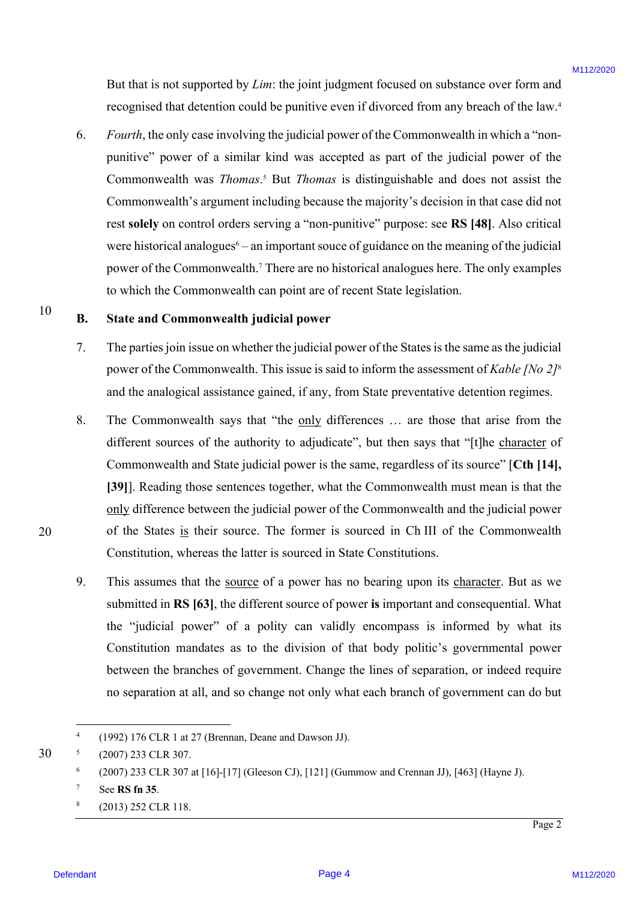But that is not supported by *Lim*: the joint judgment focused on substance over form and But that is not supported by Lim: the joint judgment focused on substance over form and recognised that detention could be punitive even if divorced from any breach of the law.<sup>4</sup>

6. *Fourth*, the only case involving the judicial power of the Commonwealth in which a "non-Fourth, the only case involving the judicial power of the Commonwealth in which <sup>a</sup> "nonpunitive" power of a similar kind was accepted as part of the judicial power of the punitive" power of a similar kind was accepted as part of the judicial power of the Commonwealth was *Thomas*.<sup>5</sup> But *Thomas* is distinguishable and does not assist the Commonwealth's argument including because the majority's decision in that case did not Commonwealth's argument including because the majority's decision in that case did not rest solely on control orders serving a "non-punitive" purpose: see RS [48]. Also critical were historical analogues<sup>6</sup> – an important souce of guidance on the meaning of the judicial power of the Commonwealth.7 There are no historical analogues here. The only examples power of the Commonwealth.' There are no historical analogues here. The only examples to which the Commonwealth can point are of recent State legislation. to which the Commonwealth can point are of recent State legislation. But that is not supported by *Limit* the joint judge<br>perti-focused on substance were form and<br>research that determine contail be pumitte over in findered from a by two<br>stands of the law to the simulative" power of a simil

### **B. State and Commonwealth judicial power** State and Commonwealth judicial power

- 7. The parties join issue on whether the judicial power of the States is the same as the judicial The parties join issue on whether the judicial power of the States is the same as thejudicial power of the Commonwealth. This issue is said to inform the assessment of *Kable [No 2]<sup>8</sup>* and the analogical assistance gained, if any, from State preventative detention regimes. and the analogical assistance gained, if any, from State preventative detention regimes.
- 8. The Commonwealth says that "the only differences ... are those that arise from the different sources of the authority to adjudicate", but then says that "[t]he character of Commonwealth and State judicial power is the same, regardless of its source" [**Cth [14],** Commonwealth and State judicial power is the same, regardless of its source" [Cth [14], **[39]**]. Reading those sentences together, what the Commonwealth must mean is that the [39]]. Reading those sentences together, what the Commonwealth must mean is that the only difference between the judicial power of the Commonwealth and the judicial power of the States is their source. The former is sourced in Ch III of the Commonwealth Constitution, whereas the latter is sourced in State Constitutions.
- 9. This assumes that the source of a power has no bearing upon its character. But as we submitted in **RS [63]**, the different source of power **is** important and consequential. What submitted in RS [63], the different source of power is important and consequential. What the "judicial power" of a polity can validly encompass is informed by what its the "judicial power" of <sup>a</sup> polity can validly encompass is informed by what its Constitution mandates as to the division of that body politic's governmental power Constitution mandates as to the division of that body politic's governmental power between the branches of government. Change the lines of separation, or indeed require between the branches of government. Change the lines of separation, or indeed require no separation at all, and so change not only what each branch of government can do but no separation at all, and so change not only what each branch of government can do but

 $8 \qquad (2013)$  252 CLR 118.

20 20

<sup>4</sup> (1992) 176 CLR 1 at 27 (Brennan, Deane and Dawson JJ). (1992) 176 CLR 1 at 27 (Brennan, Deane and Dawson JJ).

<sup>30</sup> 30 <sup>5</sup> (2007) 233 CLR 307. (2007) 233 CLR 307.

 $6$  (2007) 233 CLR 307 at [16]-[17] (Gleeson CJ), [121] (Gummow and Crennan JJ), [463] (Hayne J).

<sup>7</sup> See **RS fn 35**. See RS fn 35.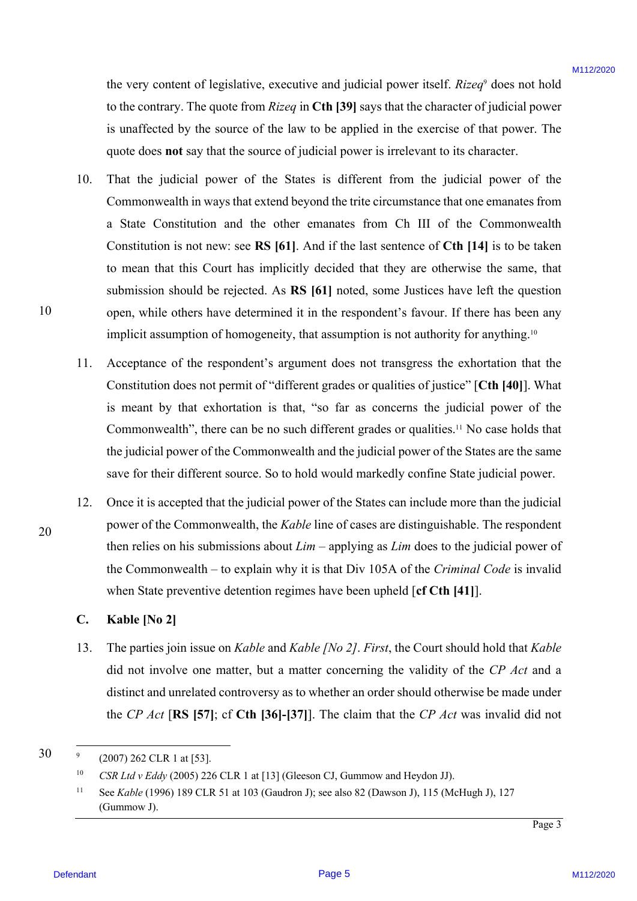the very content of legislative, executive and judicial power itself. *Rizeq*<sup>9</sup> does not hold to the contrary. The quote from *Rizeq* in Cth [39] says that the character of judicial power is unaffected by the source of the law to be applied in the exercise of that power. The is unaffected by the source of the law to be applied in the exercise of that power. The quote does **not** say that the source of judicial power is irrelevant to its character. quote does not say that the source of judicial power is irrelevant to its character.

- 10. That the judicial power of the States is different from the judicial power of the That the judicial power of the States is different from the judicial power of the Commonwealth in ways that extend beyond the trite circumstance that one emanates from Commonwealth in ways that extend beyond the trite circumstance that one emanates from a State Constitution and the other emanates from Ch III of the Commonwealth a State Constitution and the other emanates from Ch III of the Commonwealth Constitution is not new: see **RS [61]**. And if the last sentence of **Cth [14]** is to be taken Constitution is not new: see RS [61]. And if the last sentence of Cth [14] is to be taken to mean that this Court has implicitly decided that they are otherwise the same, that submission should be rejected. As RS [61] noted, some Justices have left the question open, while others have determined it in the respondent's favour. If there has been any open, while others have determined it in the respondent's favour. If there has been any implicit assumption of homogeneity, that assumption is not authority for anything.<sup>10</sup> the very content of lagislative, executive and justical power itself. Rizey does not hold<br>to the content, The quote from *Rizey* Och [99] any hat the chored of pluteaux is an unificed lyert<br>is to the content *B* page from 10.
	- 11. Acceptance of the respondent's argument does not transgress the exhortation that the Acceptance of the respondent's argument does not transgress the exhortation that the Constitution does not permit of "different grades or qualities of justice" [Cth [40]]. What is meant by that exhortation is that, "so far as concerns the judicial power of the is meant by that exhortation is that, "so far as concerns the judicial power of the Commonwealth", there can be no such different grades or qualities.11 No case holds that Commonwealth", there can be no such different grades or qualities.'' No case holds that the judicial power of the Commonwealth and the judicial power of the States are the same the judicial power of the Commonwealth and the judicial power of the States are the same save for their different source. So to hold would markedly confine State judicial power. save for their different source. So to hold would markedly confine Statejudicial power. 11.
	- 12. Once it is accepted that the judicial power of the States can include more than the judicial Once it is accepted that the judicial power of the States can include more than the judicial power of the Commonwealth, the *Kable* line of cases are distinguishable. The respondent power of the Commonwealth, the Kable line of cases are distinguishable. The respondent then relies on his submissions about  $Lim$  – applying as  $Lim$  does to the judicial power of the Commonwealth – to explain why it is that Div 105A of the *Criminal Code* is invalid the Commonwealth — to explain why it is that Div 105A of the Criminal Code is invalid when State preventive detention regimes have been upheld [**cf Cth [41]**]. when State preventive detention regimes have been upheld [cf Cth [41]].12.

### **C. Kable [No 2]** Kable [No 2]

13. The parties join issue on *Kable* and *Kable [No 2]*. *First*, the Court should hold that *Kable* The parties join issue on Kable and Kable [No 2]. First, the Court should hold that Kable did not involve one matter, but a matter concerning the validity of the CP Act and a distinct and unrelated controversy as to whether an order should otherwise be made under distinct and unrelated controversy as to whether an order should otherwise be made under the *CP Act* [RS [57]; cf Cth [36]-[37]]. The claim that the *CP Act* was invalid did not 13.

10 10

20 20

30 30

 $^{9}$  (2007) 262 CLR 1 at [53].

<sup>&</sup>lt;sup>10</sup> *CSR Ltd v Eddy* (2005) 226 CLR 1 at [13] (Gleeson CJ, Gummow and Heydon JJ).

<sup>11</sup> See *Kable* (1996) 189 CLR 51 at 103 (Gaudron J); see also 82 (Dawson J), 115 (McHugh J), 127 See Kable (1996) 189 CLR <sup>51</sup> at 103 (Gaudron J); see also 82 (Dawson J), 115 (McHugh J), 127 (Gummow J). (Gummow J).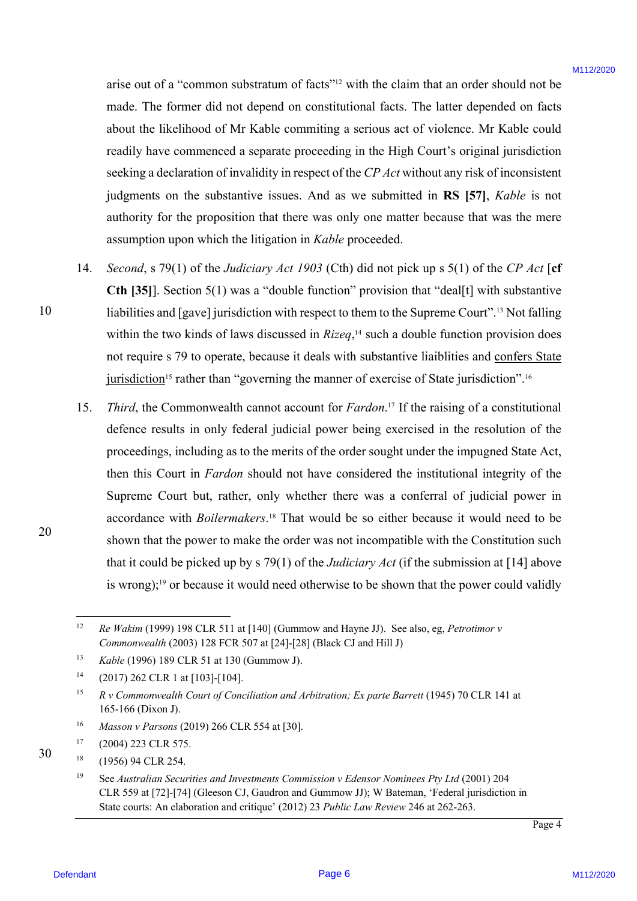arise out of a "common substratum of facts"<sup>12</sup> with the claim that an order should not be made. The former did not depend on constitutional facts. The latter depended on facts made. The former did not depend on constitutional facts. The latter depended on facts about the likelihood of Mr Kable commiting a serious act of violence. Mr Kable could about the likelihood of Mr Kable commiting a serious act of violence. Mr Kable could readily have commenced a separate proceeding in the High Court's original jurisdiction readily have commenced a separate proceeding in the High Court's original jurisdiction seeking a declaration of invalidity in respect of the *CP Act* without any risk of inconsistent seeking <sup>a</sup> declaration of invalidity in respect of the CP Act without any risk of inconsistent judgments on the substantive issues. And as we submitted in **RS [57]**, *Kable* is not judgments on the substantive issues. And as we submitted in RS [57], Kable is not authority for the proposition that there was only one matter because that was the mere authority for the proposition that there was only one matter because that was the mere assumption upon which the litigation in *Kable* proceeded. assumption upon which the litigation in Kable proceeded.

- 14. *Second*, s 79(1) of the *Judiciary Act 1903* (Cth) did not pick up s 5(1) of the *CP Act* [**cf** Second, <sup>s</sup> 79(1) of the Judiciary Act 1903 (Cth) did not pick up <sup>s</sup> 5(1) of the CP Act [ef **Cth [35]**. Section 5(1) was a "double function" provision that "deal[t] with substantive liabilities and [gave] jurisdiction with respect to them to the Supreme Court".<sup>13</sup> Not falling within the two kinds of laws discussed in *Rizeq*,<sup>14</sup> such a double function provision does not require s 79 to operate, because it deals with substantive liaiblities and confers State jurisdiction<sup>15</sup> rather than "governing the manner of exercise of State jurisdiction".<sup>16</sup> 14.
- 15. Third, the Commonwealth cannot account for *Fardon*.<sup>17</sup> If the raising of a constitutional defence results in only federal judicial power being exercised in the resolution of the defence results in only federal judicial power being exercised in the resolution of the proceedings, including as to the merits of the order sought under the impugned State Act, proceedings, including as to the merits of the order sought under the impugned State Act, then this Court in *Fardon* should not have considered the institutional integrity of the Supreme Court but, rather, only whether there was a conferral of judicial power in Supreme Court but, rather, only whether there was <sup>a</sup> conferral of judicial power in accordance with *Boilermakers*. <sup>18</sup> That would be so either because it would need to be accordance with Boilermakers.'\* That would be so either because it would need to be shown that the power to make the order was not incompatible with the Constitution such shown that the power to make the order was not incompatible with the Constitution such that it could be picked up by s 79(1) of the *Judiciary Act* (if the submission at [14] above that it could be picked up by <sup>s</sup> 79(1) of the Judiciary Act (ifthe submission at [14] above is wrong);<sup>19</sup> or because it would need otherwise to be shown that the power could validly arise out of a "common substrature of functions of the claim that an order should not be<br>not. The former deformed on constrainting filter in the latter dependent<br>about the lifective of the Kinkle communities is evident at 15.

10 10

30 30

<sup>&</sup>lt;sup>12</sup> Re Wakim (1999) 198 CLR 511 at [140] (Gummow and Hayne JJ). See also, eg, *Petrotimor v Commonwealth* (2003) 128 FCR 507 at [24]-[28] (Black CJ and Hill J) Commonwealth (2003) 128 FCR 507 at [24]-[28] (Black CJ and Hill J)

<sup>13</sup> *Kable* (1996) 189 CLR 51 at 130 (Gummow J). Kable (1996) 189 CLR <sup>51</sup> at 130 (Gummow J).

<sup>14</sup> (2017) 262 CLR 1 at [103]-[104]. (2017) 262 CLR 1 at [103]-[104].

<sup>&</sup>lt;sup>15</sup> R v Commonwealth Court of Conciliation and Arbitration; Ex parte Barrett (1945) 70 CLR 141 at 165-166 (Dixon J). 165-166 (Dixon J).

<sup>16</sup> *Masson v Parsons* (2019) 266 CLR 554 at [30]. Masson v Parsons (2019) 266 CLR 554 at [30].

<sup>17</sup> (2004) 223 CLR 575. (2004) 223 CLR 575.

<sup>18</sup> (1956) 94 CLR 254. (1956) 94 CLR 254.

<sup>&</sup>lt;sup>19</sup> See Australian Securities and Investments Commission v Edensor Nominees Pty Ltd (2001) 204 CLR 559 at [72]-[74] (Gleeson CJ, Gaudron and Gummow JJ); W Bateman, 'Federal jurisdiction in CLR 559 at [72]-[74] (Gleeson CJ, Gaudron and Gummow JJ); W Bateman, 'Federal jurisdiction in State courts: An elaboration and critique' (2012) 23 *Public Law Review* 246 at 262-263. State courts: An elaboration and critique' (2012) 23 Public Law Review 246 at 262-263.